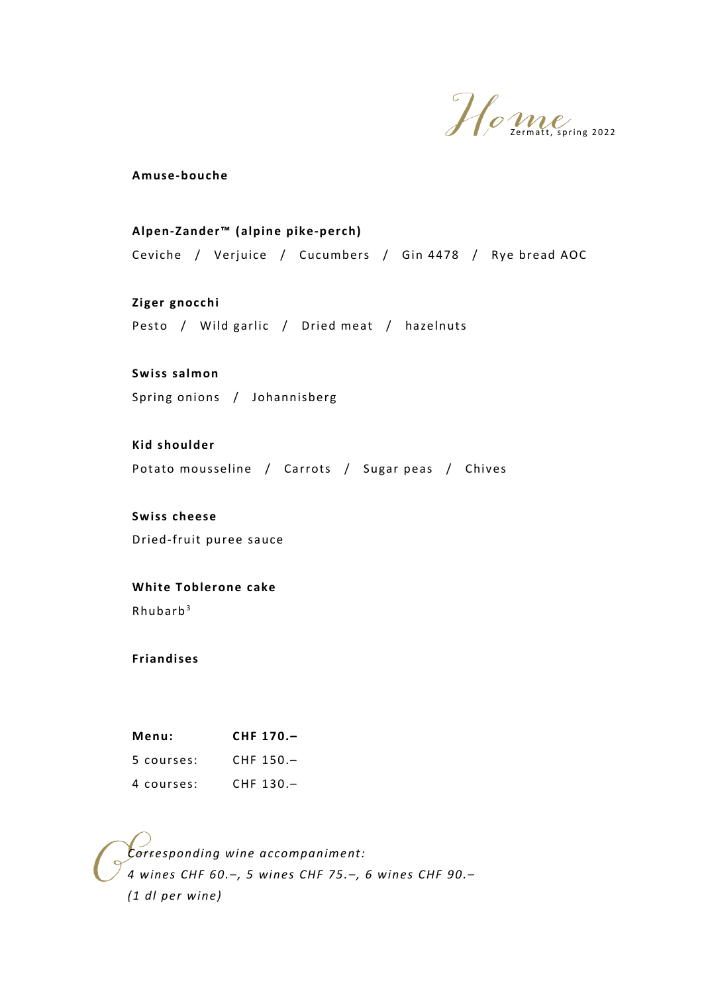

#### **Amuse-bouche**

# **Alpen-Zander™ (alpine pike-perch)**

Ceviche / Verjuice / Cucumbers / Gin 4478 / Rye bread AOC

**Ziger gnocchi**

Pesto / Wild garlic / Dried meat / hazelnuts

#### **Swiss salmon**

Spring onions / Johannisberg

**Kid shoulder** Potato mousseline / Carrots / Sugar peas / Chives

#### **Swiss cheese**

Dried-fruit puree sauce

**White Toblerone cake**

Rhubarb<sup>3</sup>

**Friandises**

| Menu:      | CHF 170.-   |
|------------|-------------|
| 5 courses: | $CHF 150 -$ |
| 4 courses: | CHF 130.-   |

Corresponding wine accompaniment:<br>4 wines CHF 60.-, 5 wines CHF 75.-, *4 wines CHF 60.–, 5 wines CHF 75.–, 6 wines CHF 90.– (1 dl per wine)*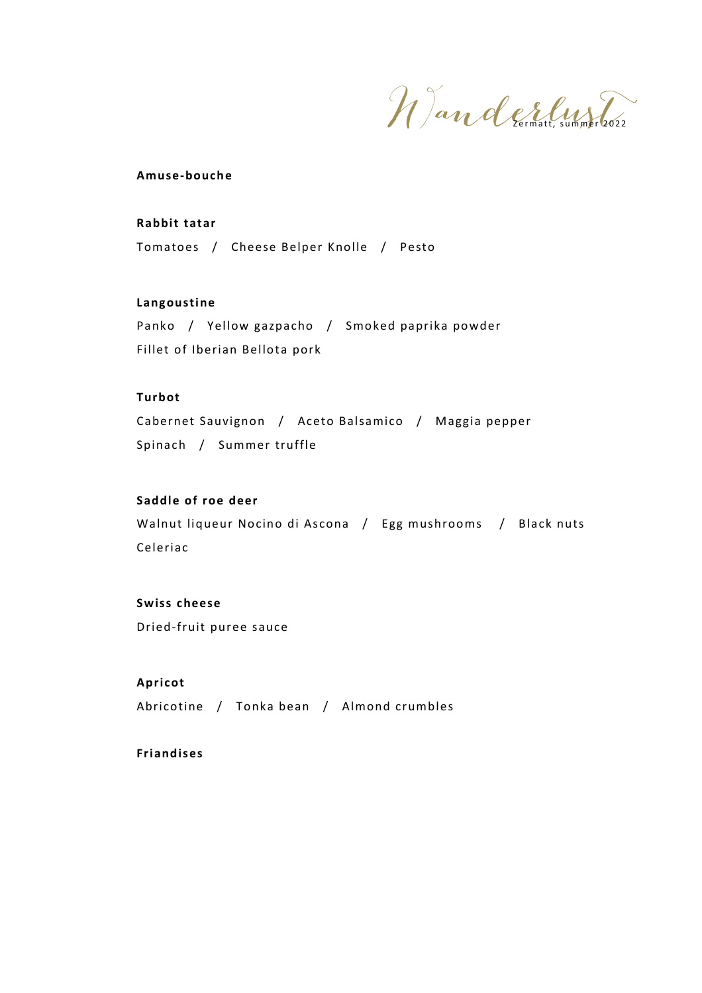Mandernit, summer 2022

#### **Amuse-bouche**

### **Rabbit tatar**

Tomatoes / Cheese Belper Knolle / Pesto

### **Langoustine**

Panko / Yellow gazpacho / Smoked paprika powder Fillet of Iberian Bellota pork

### **Turbot**

Cabernet Sauvignon / Aceto Balsamico / Maggia pepper Spinach / Summer truffle

#### **Saddle of roe deer**

Walnut liqueur Nocino di Ascona / Egg mushrooms / Black nuts Celeriac

# **Swiss cheese**

Dried-fruit puree sauce

### **Apricot**

Abricotine / Tonka bean / Almond crumbles

#### **Friandises**